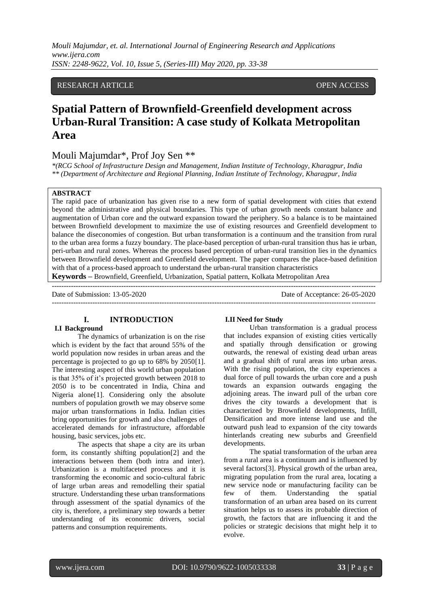## RESEARCH ARTICLE **CONSERVERS** OPEN ACCESS

# **Spatial Pattern of Brownfield-Greenfield development across Urban-Rural Transition: A case study of Kolkata Metropolitan Area**

# Mouli Majumdar\*, Prof Joy Sen \*\*

*\*(RCG School of Infrastructure Design and Management, Indian Institute of Technology, Kharagpur, India \*\* (Department of Architecture and Regional Planning, Indian Institute of Technology, Kharagpur, India*

## **ABSTRACT**

The rapid pace of urbanization has given rise to a new form of spatial development with cities that extend beyond the administrative and physical boundaries. This type of urban growth needs constant balance and augmentation of Urban core and the outward expansion toward the periphery. So a balance is to be maintained between Brownfield development to maximize the use of existing resources and Greenfield development to balance the diseconomies of congestion. But urban transformation is a continuum and the transition from rural to the urban area forms a fuzzy boundary. The place-based perception of urban-rural transition thus has ie urban, peri-urban and rural zones. Whereas the process based perception of urban-rural transition lies in the dynamics between Brownfield development and Greenfield development. The paper compares the place-based definition with that of a process-based approach to understand the urban-rural transition characteristics

---------------------------------------------------------------------------------------------------------------------------------------

**Keywords –** Brownfield, Greenfield, Urbanization, Spatial pattern, Kolkata Metropolitan Area

Date of Submission: 13-05-2020 Date of Acceptance: 26-05-2020

---------------------------------------------------------------------------------------------------------------------------------------

#### **I. INTRODUCTION I.I Background**

The dynamics of urbanization is on the rise which is evident by the fact that around 55% of the world population now resides in urban areas and the percentage is projected to go up to 68% by 2050[1]. The interesting aspect of this world urban population is that 35% of it"s projected growth between 2018 to 2050 is to be concentrated in India, China and Nigeria alone[1]. Considering only the absolute numbers of population growth we may observe some major urban transformations in India. Indian cities bring opportunities for growth and also challenges of accelerated demands for infrastructure, affordable housing, basic services, jobs etc.

The aspects that shape a city are its urban form, its constantly shifting population[2] and the interactions between them (both intra and inter). Urbanization is a multifaceted process and it is transforming the economic and socio-cultural fabric of large urban areas and remodelling their spatial structure. Understanding these urban transformations through assessment of the spatial dynamics of the city is, therefore, a preliminary step towards a better understanding of its economic drivers, social patterns and consumption requirements.

#### **I.II Need for Study**

Urban transformation is a gradual process that includes expansion of existing cities vertically and spatially through densification or growing outwards, the renewal of existing dead urban areas and a gradual shift of rural areas into urban areas. With the rising population, the city experiences a dual force of pull towards the urban core and a push towards an expansion outwards engaging the adjoining areas. The inward pull of the urban core drives the city towards a development that is characterized by Brownfield developments, Infill, Densification and more intense land use and the outward push lead to expansion of the city towards hinterlands creating new suburbs and Greenfield developments.

The spatial transformation of the urban area from a rural area is a continuum and is influenced by several factors[3]. Physical growth of the urban area, migrating population from the rural area, locating a new service node or manufacturing facility can be few of them. Understanding the spatial transformation of an urban area based on its current situation helps us to assess its probable direction of growth, the factors that are influencing it and the policies or strategic decisions that might help it to evolve.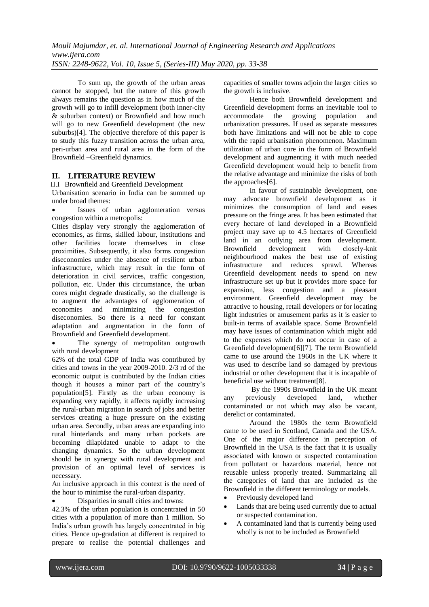To sum up, the growth of the urban areas cannot be stopped, but the nature of this growth always remains the question as in how much of the growth will go to infill development (both inner-city & suburban context) or Brownfield and how much will go to new Greenfield development (the new suburbs)[4]. The objective therefore of this paper is to study this fuzzy transition across the urban area, peri-urban area and rural area in the form of the Brownfield –Greenfield dynamics.

## **II. LITERATURE REVIEW**

II.I Brownfield and Greenfield Development

Urbanisation scenario in India can be summed up under broad themes:

 Issues of urban agglomeration versus congestion within a metropolis:

Cities display very strongly the agglomeration of economies, as firms, skilled labour, institutions and other facilities locate themselves in close proximities. Subsequently, it also forms congestion diseconomies under the absence of resilient urban infrastructure, which may result in the form of deterioration in civil services, traffic congestion, pollution, etc. Under this circumstance, the urban cores might degrade drastically, so the challenge is to augment the advantages of agglomeration of economies and minimizing the congestion diseconomies. So there is a need for constant adaptation and augmentation in the form of Brownfield and Greenfield development.

 The synergy of metropolitan outgrowth with rural development

62% of the total GDP of India was contributed by cities and towns in the year 2009-2010. 2/3 rd of the economic output is contributed by the Indian cities though it houses a minor part of the country"s population[5]. Firstly as the urban economy is expanding very rapidly, it affects rapidly increasing the rural-urban migration in search of jobs and better services creating a huge pressure on the existing urban area. Secondly, urban areas are expanding into rural hinterlands and many urban pockets are becoming dilapidated unable to adapt to the changing dynamics. So the urban development should be in synergy with rural development and provision of an optimal level of services is necessary.

An inclusive approach in this context is the need of the hour to minimise the rural-urban disparity.

Disparities in small cities and towns:

42.3% of the urban population is concentrated in 50 cities with a population of more than 1 million. So India"s urban growth has largely concentrated in big cities. Hence up-gradation at different is required to prepare to realise the potential challenges and capacities of smaller towns adjoin the larger cities so the growth is inclusive.

Hence both Brownfield development and Greenfield development forms an inevitable tool to<br>accommodate the growing population and population urbanization pressures. If used as separate measures both have limitations and will not be able to cope with the rapid urbanisation phenomenon. Maximum utilization of urban core in the form of Brownfield development and augmenting it with much needed Greenfield development would help to benefit from the relative advantage and minimize the risks of both the approaches[6].

In favour of sustainable development, one may advocate brownfield development as it minimizes the consumption of land and eases pressure on the fringe area. It has been estimated that every hectare of land developed in a Brownfield project may save up to 4.5 hectares of Greenfield land in an outlying area from development. Brownfield development with closely-knit neighbourhood makes the best use of existing infrastructure and reduces sprawl. Whereas Greenfield development needs to spend on new infrastructure set up but it provides more space for expansion, less congestion and a pleasant environment. Greenfield development may be attractive to housing, retail developers or for locating light industries or amusement parks as it is easier to built-in terms of available space. Some Brownfield may have issues of contamination which might add to the expenses which do not occur in case of a Greenfield development[6][7]. The term Brownfield came to use around the 1960s in the UK where it was used to describe land so damaged by previous industrial or other development that it is incapable of beneficial use without treatment[8].

By the 1990s Brownfield in the UK meant any previously developed land, whether contaminated or not which may also be vacant, derelict or contaminated.

Around the 1980s the term Brownfield came to be used in Scotland, Canada and the USA. One of the major difference in perception of Brownfield in the USA is the fact that it is usually associated with known or suspected contamination from pollutant or hazardous material, hence not reusable unless properly treated. Summarizing all the categories of land that are included as the Brownfield in the different terminology or models.

- Previously developed land
- Lands that are being used currently due to actual or suspected contamination.
- A contaminated land that is currently being used wholly is not to be included as Brownfield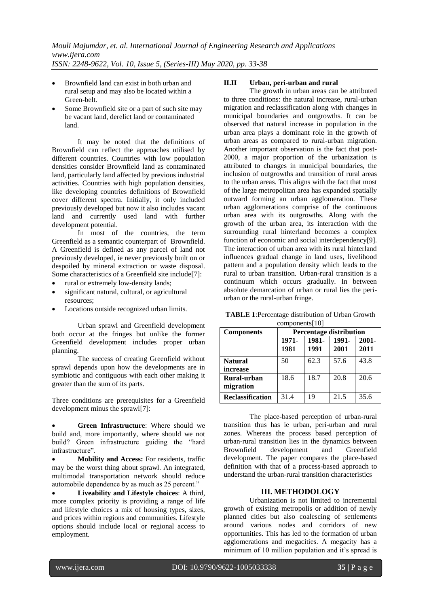- Brownfield land can exist in both urban and rural setup and may also be located within a Green-belt.
- Some Brownfield site or a part of such site may be vacant land, derelict land or contaminated land.

It may be noted that the definitions of Brownfield can reflect the approaches utilised by different countries. Countries with low population densities consider Brownfield land as contaminated land, particularly land affected by previous industrial activities. Countries with high population densities, like developing countries definitions of Brownfield cover different spectra. Initially, it only included previously developed but now it also includes vacant land and currently used land with further development potential.

In most of the countries, the term Greenfield as a semantic counterpart of Brownfield. A Greenfield is defined as any parcel of land not previously developed, ie never previously built on or despoiled by mineral extraction or waste disposal. Some characteristics of a Greenfield site include[7]:

- rural or extremely low-density lands;
- significant natural, cultural, or agricultural resources;
- Locations outside recognized urban limits.

Urban sprawl and Greenfield development both occur at the fringes but unlike the former Greenfield development includes proper urban planning.

The success of creating Greenfield without sprawl depends upon how the developments are in symbiotic and contiguous with each other making it greater than the sum of its parts.

Three conditions are prerequisites for a Greenfield development minus the sprawl[7]:

 **Green Infrastructure**: Where should we build and, more importantly, where should we not build? Green infrastructure guiding the "hard infrastructure".

 **Mobility and Access:** For residents, traffic may be the worst thing about sprawl. An integrated, multimodal transportation network should reduce automobile dependence by as much as 25 percent."

 **Liveability and Lifestyle choices**: A third, more complex priority is providing a range of life and lifestyle choices a mix of housing types, sizes, and prices within regions and communities. Lifestyle options should include local or regional access to employment.

## **II.II Urban, peri-urban and rural**

The growth in urban areas can be attributed to three conditions: the natural increase, rural-urban migration and reclassification along with changes in municipal boundaries and outgrowths. It can be observed that natural increase in population in the urban area plays a dominant role in the growth of urban areas as compared to rural-urban migration. Another important observation is the fact that post-2000, a major proportion of the urbanization is attributed to changes in municipal boundaries, the inclusion of outgrowths and transition of rural areas to the urban areas. This aligns with the fact that most of the large metropolitan area has expanded spatially outward forming an urban agglomeration. These urban agglomerations comprise of the continuous urban area with its outgrowths. Along with the growth of the urban area, its interaction with the surrounding rural hinterland becomes a complex function of economic and social interdependency[9]. The interaction of urban area with its rural hinterland influences gradual change in land uses, livelihood pattern and a population density which leads to the rural to urban transition. Urban-rural transition is a continuum which occurs gradually. In between absolute demarcation of urban or rural lies the periurban or the rural-urban fringe.

| <b>TABLE 1: Percentage distribution of Urban Growth</b> |
|---------------------------------------------------------|
| components $[10]$                                       |

| <b>Components</b>       | <b>Percentage distribution</b> |               |               |                  |  |
|-------------------------|--------------------------------|---------------|---------------|------------------|--|
|                         | 1971-<br>1981                  | 1981-<br>1991 | 1991-<br>2001 | $2001 -$<br>2011 |  |
|                         |                                |               |               |                  |  |
| <b>Natural</b>          | 50                             | 62.3          | 57.6          | 43.8             |  |
| increase                |                                |               |               |                  |  |
| Rural-urban             | 18.6                           | 18.7          | 20.8          | 20.6             |  |
| migration               |                                |               |               |                  |  |
| <b>Reclassification</b> | 31.4                           | 19            | 21.5          | 35.6             |  |

The place-based perception of urban-rural transition thus has ie urban, peri-urban and rural zones. Whereas the process based perception of urban-rural transition lies in the dynamics between Brownfield development and Greenfield development. The paper compares the place-based definition with that of a process-based approach to understand the urban-rural transition characteristics

## **III. METHODOLOGY**

Urbanization is not limited to incremental growth of existing metropolis or addition of newly planned cities but also coalescing of settlements around various nodes and corridors of new opportunities. This has led to the formation of urban agglomerations and megacities. A megacity has a minimum of 10 million population and it's spread is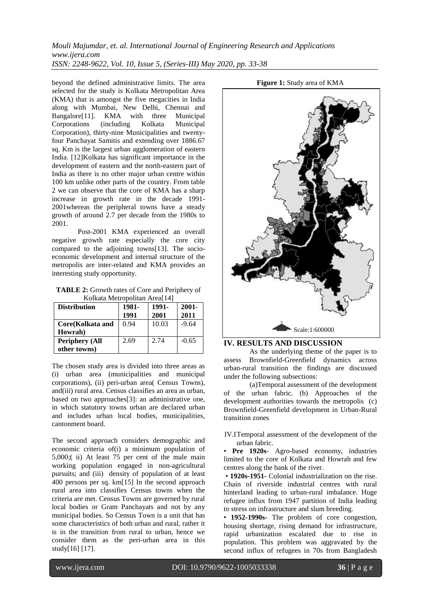beyond the defined administrative limits. The area selected for the study is Kolkata Metropolitan Area (KMA) that is amongst the five megacities in India along with Mumbai, New Delhi, Chennai and<br>Bangalore<sup>[11]</sup>. KMA with three Municipal KMA with three Municipal<br>(including Kolkata Municipal Corporations Corporation), thirty-nine Municipalities and twentyfour Panchayat Samitis and extending over 1886.67 sq. Km is the largest urban agglomeration of eastern India. [12]Kolkata has significant importance in the development of eastern and the north-eastern part of India as there is no other major urban centre within 100 km unlike other parts of the country. From table 2 we can observe that the core of KMA has a sharp increase in growth rate in the decade 1991- 2001whereas the peripheral towns have a steady growth of around 2.7 per decade from the 1980s to 2001.

Post-2001 KMA experienced an overall negative growth rate especially the core city compared to the adjoining towns[13]. The socioeconomic development and internal structure of the metropolis are inter-related and KMA provides an interesting study opportunity.

**TABLE 2:** Growth rates of Core and Periphery of Kolkata Metropolitan Area[14]

| <b>Distribution</b>   | 1981- | 1991- | $2001 -$ |
|-----------------------|-------|-------|----------|
|                       | 1991  | 2001  | 2011     |
| Core(Kolkata and      | 0.94  | 10.03 | $-9.64$  |
| Howrah)               |       |       |          |
| <b>Periphery (All</b> | 2.69  | 2.74  | $-0.65$  |
| other towns)          |       |       |          |

The chosen study area is divided into three areas as (i) urban area (municipalities and municipal corporations), (ii) peri-urban area( Census Towns), and(iii) rural area. Census classifies an area as urban, based on two approaches[3]: an administrative one, in which statutory towns urban are declared urban and includes urban local bodies, municipalities, cantonment board.

The second approach considers demographic and economic criteria of(i) a minimum population of 5,000;( ii) At least 75 per cent of the male main working population engaged in non-agricultural pursuits; and (iii) density of population of at least 400 persons per sq. km[15] In the second approach rural area into classifies Census towns when the criteria are met. Census Towns are governed by rural local bodies or Gram Panchayats and not by any municipal bodies. So Census Town is a unit that has some characteristics of both urban and rural, rather it is in the transition from rural to urban, hence we consider them as the peri-urban area in this study[16] [17].



## **IV. RESULTS AND DISCUSSION**

As the underlying theme of the paper is to assess Brownfield-Greenfield dynamics across urban-rural transition the findings are discussed under the following subsections:

(a)Temporal assessment of the development of the urban fabric. (b) Approaches of the development authorities towards the metropolis (c) Brownfield-Greenfield development in Urban-Rural transition zones

IV.ITemporal assessment of the development of the urban fabric.

• **Pre 1920s**- Agro-based economy, industries limited to the core of Kolkata and Howrah and few centres along the bank of the river.

• **1920s-1951-** Colonial industrialization on the rise. Chain of riverside industrial centres with rural hinterland leading to urban-rural imbalance. Huge refugee influx from 1947 partition of India leading to stress on infrastructure and slum breeding.

• **1952-1990s-** The problem of core congestion, housing shortage, rising demand for infrastructure, rapid urbanization escalated due to rise in population. This problem was aggravated by the second influx of refugees in 70s from Bangladesh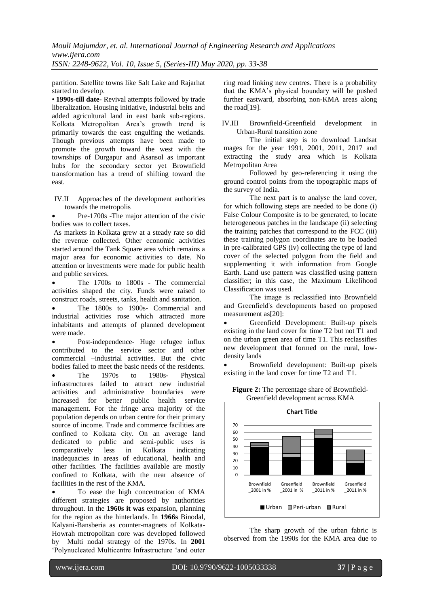partition. Satellite towns like Salt Lake and Rajarhat started to develop.

• **1990s-till date-** Revival attempts followed by trade liberalization. Housing initiative, industrial belts and added agricultural land in east bank sub-regions. Kolkata Metropolitan Area"s growth trend is primarily towards the east engulfing the wetlands. Though previous attempts have been made to promote the growth toward the west with the townships of Durgapur and Asansol as important hubs for the secondary sector yet Brownfield transformation has a trend of shifting toward the east.

IV.II Approaches of the development authorities towards the metropolis

 Pre-1700s -The major attention of the civic bodies was to collect taxes.

As markets in Kolkata grew at a steady rate so did the revenue collected. Other economic activities started around the Tank Square area which remains a major area for economic activities to date. No attention or investments were made for public health and public services.

 The 1700s to 1800s - The commercial activities shaped the city. Funds were raised to construct roads, streets, tanks, health and sanitation.

 The 1800s to 1900s- Commercial and industrial activities rose which attracted more inhabitants and attempts of planned development were made.

 Post-independence- Huge refugee influx contributed to the service sector and other commercial –industrial activities. But the civic bodies failed to meet the basic needs of the residents. The 1970s to 1980s- Physical infrastructures failed to attract new industrial activities and administrative boundaries were increased for better public health service management. For the fringe area majority of the population depends on urban centre for their primary source of income. Trade and commerce facilities are confined to Kolkata city. On an average land dedicated to public and semi-public uses is comparatively less in Kolkata indicating inadequacies in areas of educational, health and other facilities. The facilities available are mostly confined to Kolkata, with the near absence of facilities in the rest of the KMA.

 To ease the high concentration of KMA different strategies are proposed by authorities throughout. In the **1960s it was** expansion, planning for the region as the hinterlands. In **1966s** Binodal, Kalyani-Bansberia as counter-magnets of Kolkata-Howrah metropolitan core was developed followed by Multi nodal strategy of the 1970s. In **2001**  "Polynucleated Multicentre Infrastructure "and outer ring road linking new centres. There is a probability that the KMA"s physical boundary will be pushed further eastward, absorbing non-KMA areas along the road[19].

IV.III Brownfield-Greenfield development in Urban-Rural transition zone

The initial step is to download Landsat mages for the year 1991, 2001, 2011, 2017 and extracting the study area which is Kolkata Metropolitan Area

Followed by geo-referencing it using the ground control points from the topographic maps of the survey of India.

The next part is to analyse the land cover, for which following steps are needed to be done (i) False Colour Composite is to be generated, to locate heterogeneous patches in the landscape (ii) selecting the training patches that correspond to the FCC (iii) these training polygon coordinates are to be loaded in pre-calibrated GPS (iv) collecting the type of land cover of the selected polygon from the field and supplementing it with information from Google Earth. Land use pattern was classified using pattern classifier; in this case, the Maximum Likelihood Classification was used.

The image is reclassified into Brownfield and Greenfield's developments based on proposed measurement as[20]:

 Greenfield Development: Built-up pixels existing in the land cover for time T2 but not T1 and on the urban green area of time T1. This reclassifies new development that formed on the rural, lowdensity lands

 Brownfield development: Built-up pixels existing in the land cover for time T2 and T1.



**Figure 2:** The percentage share of Brownfield-Greenfield development across KMA

The sharp growth of the urban fabric is observed from the 1990s for the KMA area due to